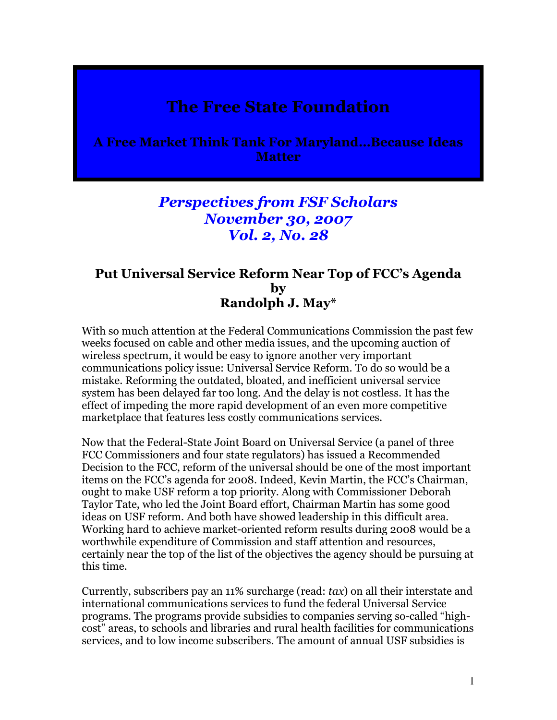## The Free State Foundation

A Free Market Think Tank For Maryland…Because Ideas **Matter** 

## Perspectives from FSF Scholars November 30, 2007 Vol. 2, No. 28

## Put Universal Service Reform Near Top of FCC's Agenda by Randolph J. May\*

With so much attention at the Federal Communications Commission the past few weeks focused on cable and other media issues, and the upcoming auction of wireless spectrum, it would be easy to ignore another very important communications policy issue: Universal Service Reform. To do so would be a mistake. Reforming the outdated, bloated, and inefficient universal service system has been delayed far too long. And the delay is not costless. It has the effect of impeding the more rapid development of an even more competitive marketplace that features less costly communications services.

Now that the Federal-State Joint Board on Universal Service (a panel of three FCC Commissioners and four state regulators) has issued a Recommended Decision to the FCC, reform of the universal should be one of the most important items on the FCC's agenda for 2008. Indeed, Kevin Martin, the FCC's Chairman, ought to make USF reform a top priority. Along with Commissioner Deborah Taylor Tate, who led the Joint Board effort, Chairman Martin has some good ideas on USF reform. And both have showed leadership in this difficult area. Working hard to achieve market-oriented reform results during 2008 would be a worthwhile expenditure of Commission and staff attention and resources, certainly near the top of the list of the objectives the agency should be pursuing at this time.

Currently, subscribers pay an 11% surcharge (read: tax) on all their interstate and international communications services to fund the federal Universal Service programs. The programs provide subsidies to companies serving so-called "highcost" areas, to schools and libraries and rural health facilities for communications services, and to low income subscribers. The amount of annual USF subsidies is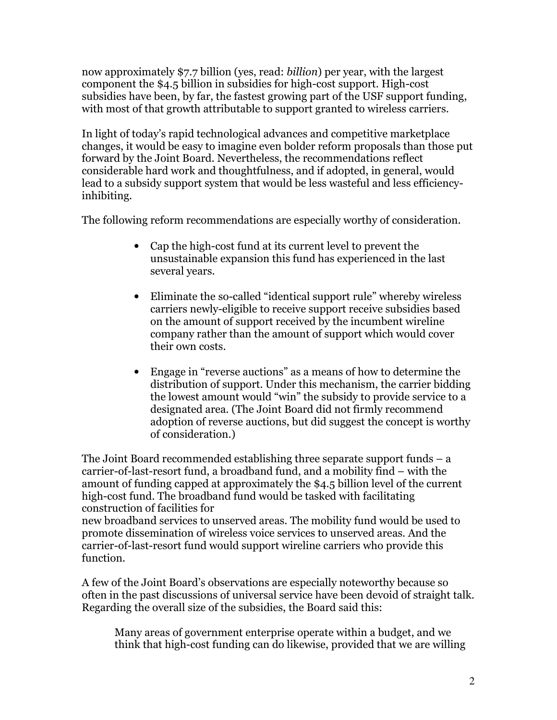now approximately \$7.7 billion (yes, read: billion) per year, with the largest component the \$4.5 billion in subsidies for high-cost support. High-cost subsidies have been, by far, the fastest growing part of the USF support funding, with most of that growth attributable to support granted to wireless carriers.

In light of today's rapid technological advances and competitive marketplace changes, it would be easy to imagine even bolder reform proposals than those put forward by the Joint Board. Nevertheless, the recommendations reflect considerable hard work and thoughtfulness, and if adopted, in general, would lead to a subsidy support system that would be less wasteful and less efficiencyinhibiting.

The following reform recommendations are especially worthy of consideration.

- Cap the high-cost fund at its current level to prevent the unsustainable expansion this fund has experienced in the last several years.
- Eliminate the so-called "identical support rule" whereby wireless carriers newly-eligible to receive support receive subsidies based on the amount of support received by the incumbent wireline company rather than the amount of support which would cover their own costs.
- Engage in "reverse auctions" as a means of how to determine the distribution of support. Under this mechanism, the carrier bidding the lowest amount would "win" the subsidy to provide service to a designated area. (The Joint Board did not firmly recommend adoption of reverse auctions, but did suggest the concept is worthy of consideration.)

The Joint Board recommended establishing three separate support funds – a carrier-of-last-resort fund, a broadband fund, and a mobility find – with the amount of funding capped at approximately the \$4.5 billion level of the current high-cost fund. The broadband fund would be tasked with facilitating construction of facilities for

new broadband services to unserved areas. The mobility fund would be used to promote dissemination of wireless voice services to unserved areas. And the carrier-of-last-resort fund would support wireline carriers who provide this function.

A few of the Joint Board's observations are especially noteworthy because so often in the past discussions of universal service have been devoid of straight talk. Regarding the overall size of the subsidies, the Board said this:

Many areas of government enterprise operate within a budget, and we think that high-cost funding can do likewise, provided that we are willing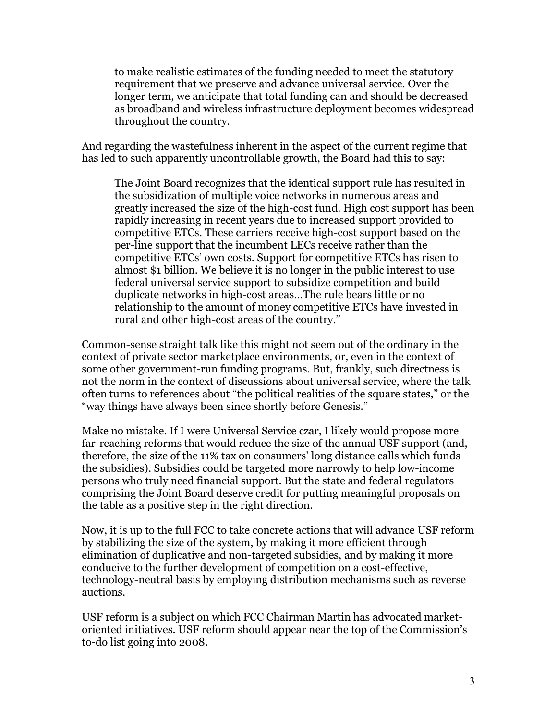to make realistic estimates of the funding needed to meet the statutory requirement that we preserve and advance universal service. Over the longer term, we anticipate that total funding can and should be decreased as broadband and wireless infrastructure deployment becomes widespread throughout the country.

And regarding the wastefulness inherent in the aspect of the current regime that has led to such apparently uncontrollable growth, the Board had this to say:

The Joint Board recognizes that the identical support rule has resulted in the subsidization of multiple voice networks in numerous areas and greatly increased the size of the high-cost fund. High cost support has been rapidly increasing in recent years due to increased support provided to competitive ETCs. These carriers receive high-cost support based on the per-line support that the incumbent LECs receive rather than the competitive ETCs' own costs. Support for competitive ETCs has risen to almost \$1 billion. We believe it is no longer in the public interest to use federal universal service support to subsidize competition and build duplicate networks in high-cost areas…The rule bears little or no relationship to the amount of money competitive ETCs have invested in rural and other high-cost areas of the country."

Common-sense straight talk like this might not seem out of the ordinary in the context of private sector marketplace environments, or, even in the context of some other government-run funding programs. But, frankly, such directness is not the norm in the context of discussions about universal service, where the talk often turns to references about "the political realities of the square states," or the "way things have always been since shortly before Genesis."

Make no mistake. If I were Universal Service czar, I likely would propose more far-reaching reforms that would reduce the size of the annual USF support (and, therefore, the size of the 11% tax on consumers' long distance calls which funds the subsidies). Subsidies could be targeted more narrowly to help low-income persons who truly need financial support. But the state and federal regulators comprising the Joint Board deserve credit for putting meaningful proposals on the table as a positive step in the right direction.

Now, it is up to the full FCC to take concrete actions that will advance USF reform by stabilizing the size of the system, by making it more efficient through elimination of duplicative and non-targeted subsidies, and by making it more conducive to the further development of competition on a cost-effective, technology-neutral basis by employing distribution mechanisms such as reverse auctions.

USF reform is a subject on which FCC Chairman Martin has advocated marketoriented initiatives. USF reform should appear near the top of the Commission's to-do list going into 2008.